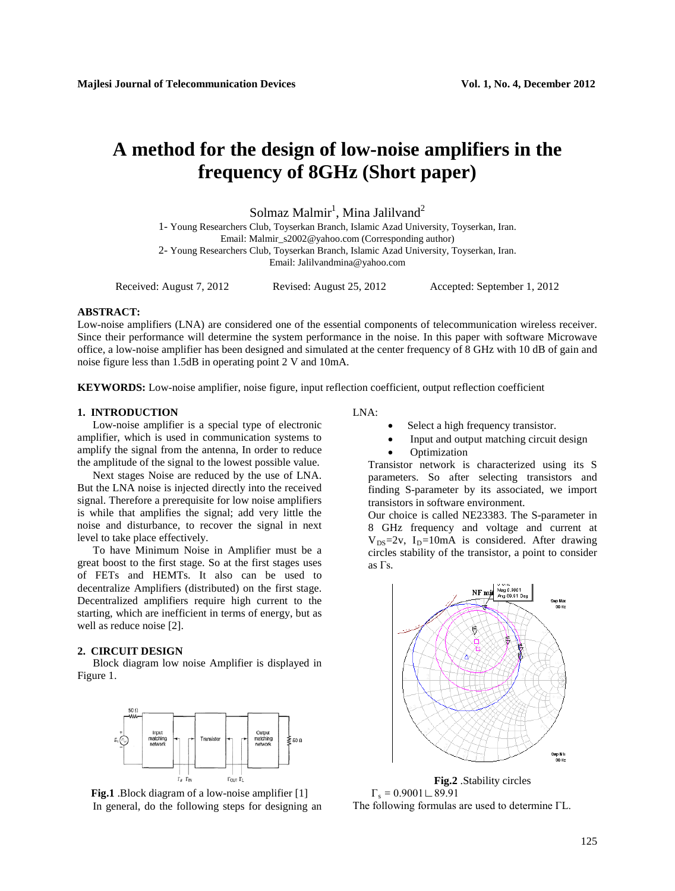# **A method for the design of low-noise amplifiers in the frequency of 8GHz (Short paper)**

 $S$ olmaz Malmir $^1$ , Mina Jalilvand $^2$ 

1- Young Researchers Club, Toyserkan Branch, Islamic Azad University, Toyserkan, Iran. Email: Malmir\_s2002@yahoo.com (Corresponding author)

2- Young Researchers Club, Toyserkan Branch, Islamic Azad University, Toyserkan, Iran. Email: Jalilvandmina@yahoo.com

Received: August 7, 2012 Revised: August 25, 2012 Accepted: September 1, 2012

# **ABSTRACT:**

Low-noise amplifiers (LNA) are considered one of the essential components of telecommunication wireless receiver. Since their performance will determine the system performance in the noise. In this paper with software Microwave office, a low-noise amplifier has been designed and simulated at the center frequency of 8 GHz with 10 dB of gain and noise figure less than 1.5dB in operating point 2 V and 10mA.

**KEYWORDS:** Low-noise amplifier, noise figure, input reflection coefficient, output reflection coefficient

### **1. INTRODUCTION**

Low-noise amplifier is a special type of electronic amplifier, which is used in communication systems to amplify the signal from the antenna, In order to reduce the amplitude of the signal to the lowest possible value.

Next stages Noise are reduced by the use of LNA. But the LNA noise is injected directly into the received signal. Therefore a prerequisite for low noise amplifiers is while that amplifies the signal; add very little the noise and disturbance, to recover the signal in next level to take place effectively.

To have Minimum Noise in Amplifier must be a great boost to the first stage. So at the first stages uses of FETs and HEMTs. It also can be used to decentralize Amplifiers (distributed) on the first stage. Decentralized amplifiers require high current to the starting, which are inefficient in terms of energy, but as well as reduce noise [2].

### **2. CIRCUIT DESIGN**

Block diagram low noise Amplifier is displayed in Figure 1.



**Fig.1** .Block diagram of a low-noise amplifier [1] In general, do the following steps for designing an

## LNA:

- $S$ elect a high frequency transistor.
- Input and output matching circuit design
- **Optimization**

Transistor network is characterized using its S parameters. So after selecting transistors and finding S-parameter by its associated, we import transistors in software environment.

*Our choice is called NE23383. The S-parameter in* 8 GHz frequency and voltage and current at V<sub>DS</sub>=2v, I<sub>D</sub>=10mA is considered. After drawing  $1077$  *iTTCles stability* of the *transistor*, *a point to consider as* Γs*.*